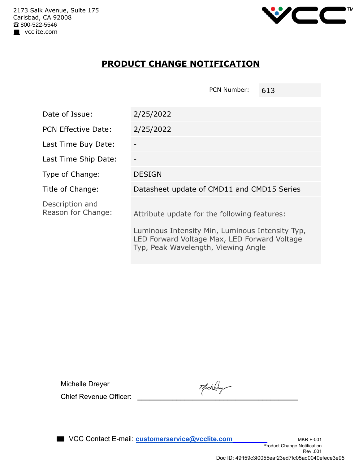

## **PRODUCT CHANGE NOTIFICATION**

PCN Number: 613

| Date of Issue:                        | 2/25/2022                                                                                                                              |  |
|---------------------------------------|----------------------------------------------------------------------------------------------------------------------------------------|--|
| <b>PCN Effective Date:</b>            | 2/25/2022                                                                                                                              |  |
| Last Time Buy Date:                   |                                                                                                                                        |  |
| Last Time Ship Date:                  |                                                                                                                                        |  |
| Type of Change:                       | <b>DESIGN</b>                                                                                                                          |  |
| Title of Change:                      | Datasheet update of CMD11 and CMD15 Series                                                                                             |  |
| Description and<br>Reason for Change: | Attribute update for the following features:                                                                                           |  |
|                                       | Luminous Intensity Min, Luminous Intensity Typ,<br>LED Forward Voltage Max, LED Forward Voltage<br>Typ, Peak Wavelength, Viewing Angle |  |

Michelle Dreyer

Michelle Dreyer<br>Chief Revenue Officer: *Thichary*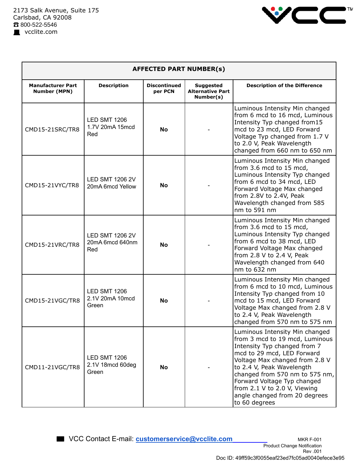

| <b>AFFECTED PART NUMBER(s)</b>                  |                                                  |                                |                                                          |                                                                                                                                                                                                                                                                                                                                                  |  |  |
|-------------------------------------------------|--------------------------------------------------|--------------------------------|----------------------------------------------------------|--------------------------------------------------------------------------------------------------------------------------------------------------------------------------------------------------------------------------------------------------------------------------------------------------------------------------------------------------|--|--|
| <b>Manufacturer Part</b><br><b>Number (MPN)</b> | <b>Description</b>                               | <b>Discontinued</b><br>per PCN | <b>Suggested</b><br><b>Alternative Part</b><br>Number(s) | <b>Description of the Difference</b>                                                                                                                                                                                                                                                                                                             |  |  |
| CMD15-21SRC/TR8                                 | <b>LED SMT 1206</b><br>1.7V 20mA 15mcd<br>Red    | <b>No</b>                      |                                                          | Luminous Intensity Min changed<br>from 6 mcd to 16 mcd, Luminous<br>Intensity Typ changed from15<br>mcd to 23 mcd, LED Forward<br>Voltage Typ changed from 1.7 V<br>to 2.0 V, Peak Wavelength<br>changed from 660 nm to 650 nm                                                                                                                   |  |  |
| CMD15-21VYC/TR8                                 | <b>LED SMT 1206 2V</b><br>20mA 6mcd Yellow       | No                             |                                                          | Luminous Intensity Min changed<br>from 3.6 mcd to 15 mcd,<br>Luminous Intensity Typ changed<br>from 6 mcd to 34 mcd, LED<br>Forward Voltage Max changed<br>from 2.8V to 2.4V, Peak<br>Wavelength changed from 585<br>nm to 591 nm                                                                                                                |  |  |
| CMD15-21VRC/TR8                                 | <b>LED SMT 1206 2V</b><br>20mA 6mcd 640nm<br>Red | <b>No</b>                      |                                                          | Luminous Intensity Min changed<br>from 3.6 mcd to 15 mcd,<br>Luminous Intensity Typ changed<br>from 6 mcd to 38 mcd, LED<br>Forward Voltage Max changed<br>from 2.8 V to 2.4 V, Peak<br>Wavelength changed from 640<br>nm to 632 nm                                                                                                              |  |  |
| CMD15-21VGC/TR8                                 | <b>LED SMT 1206</b><br>2.1V 20mA 10mcd<br>Green  | No                             |                                                          | Luminous Intensity Min changed<br>from 6 mcd to 10 mcd, Luminous<br>Intensity Typ changed from 10<br>mcd to 15 mcd, LED Forward<br>Voltage Max changed from 2.8 V<br>to 2.4 V, Peak Wavelength<br>changed from 570 nm to 575 nm                                                                                                                  |  |  |
| CMD11-21VGC/TR8                                 | <b>LED SMT 1206</b><br>2.1V 18mcd 60deg<br>Green | No                             |                                                          | Luminous Intensity Min changed<br>from 3 mcd to 19 mcd, Luminous<br>Intensity Typ changed from 7<br>mcd to 29 mcd, LED Forward<br>Voltage Max changed from 2.8 V<br>to 2.4 V, Peak Wavelength<br>changed from 570 nm to 575 nm,<br>Forward Voltage Typ changed<br>from 2.1 V to 2.0 V, Viewing<br>angle changed from 20 degrees<br>to 60 degrees |  |  |

■ VCC Contact E-mail: **customerservice@vcclite.com** MKR F-001